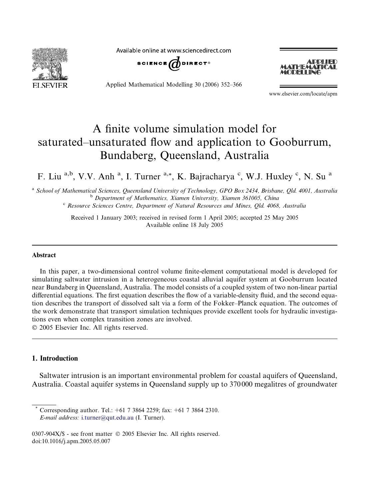

Available online at www.sciencedirect.com



Applied Mathematical Modelling 30 (2006) 352–366



www.elsevier.com/locate/apm

# A finite volume simulation model for saturated–unsaturated flow and application to Gooburrum, Bundaberg, Queensland, Australia

F. Liu<sup>a,b</sup>, V.V. Anh<sup>a</sup>, I. Turner<sup>a,\*</sup>, K. Bajracharya<sup>c</sup>, W.J. Huxley<sup>c</sup>, N. Su<sup>a</sup>

<sup>a</sup> School of Mathematical Sciences, Queensland University of Technology, GPO Box 2434, Brisbane, Qld. 4001, Australia<br><sup>b</sup> Department of Mathematics, Xiamen University, Xiamen 361005, China<br><sup>c</sup> Resource Sciences Centre, De

Received 1 January 2003; received in revised form 1 April 2005; accepted 25 May 2005 Available online 18 July 2005

#### Abstract

In this paper, a two-dimensional control volume finite-element computational model is developed for simulating saltwater intrusion in a heterogeneous coastal alluvial aquifer system at Gooburrum located near Bundaberg in Queensland, Australia. The model consists of a coupled system of two non-linear partial differential equations. The first equation describes the flow of a variable-density fluid, and the second equation describes the transport of dissolved salt via a form of the Fokker–Planck equation. The outcomes of the work demonstrate that transport simulation techniques provide excellent tools for hydraulic investigations even when complex transition zones are involved.

2005 Elsevier Inc. All rights reserved.

### 1. Introduction

Saltwater intrusion is an important environmental problem for coastal aquifers of Queensland, Australia. Coastal aquifer systems in Queensland supply up to 370 000 megalitres of groundwater

Corresponding author. Tel.:  $+61$  7 3864 2259; fax:  $+61$  7 3864 2310. E-mail address: [i.turner@qut.edu.au](mailto:i.turner@qut.edu.au) (I. Turner).

<sup>0307-904</sup>X/\$ - see front matter  $\degree$  2005 Elsevier Inc. All rights reserved. doi:10.1016/j.apm.2005.05.007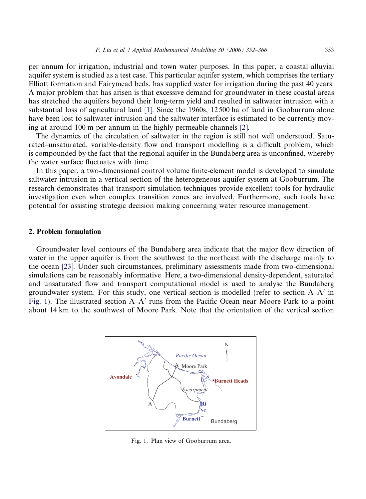per annum for irrigation, industrial and town water purposes. In this paper, a coastal alluvial aquifer system is studied as a test case. This particular aquifer system, which comprises the tertiary Elliott formation and Fairymead beds, has supplied water for irrigation during the past 40 years. A major problem that has arisen is that excessive demand for groundwater in these coastal areas has stretched the aquifers beyond their long-term yield and resulted in saltwater intrusion with a substantial loss of agricultural land [\[1\]](#page--1-0). Since the 1960s, 12 500 ha of land in Gooburrum alone have been lost to saltwater intrusion and the saltwater interface is estimated to be currently moving at around 100 m per annum in the highly permeable channels [\[2\]](#page--1-0).

The dynamics of the circulation of saltwater in the region is still not well understood. Saturated–unsaturated, variable-density flow and transport modelling is a difficult problem, which is compounded by the fact that the regional aquifer in the Bundaberg area is unconfined, whereby the water surface fluctuates with time.

In this paper, a two-dimensional control volume finite-element model is developed to simulate saltwater intrusion in a vertical section of the heterogeneous aquifer system at Gooburrum. The research demonstrates that transport simulation techniques provide excellent tools for hydraulic investigation even when complex transition zones are involved. Furthermore, such tools have potential for assisting strategic decision making concerning water resource management.

### 2. Problem formulation

Groundwater level contours of the Bundaberg area indicate that the major flow direction of water in the upper aquifer is from the southwest to the northeast with the discharge mainly to the ocean [\[23\].](#page--1-0) Under such circumstances, preliminary assessments made from two-dimensional simulations can be reasonably informative. Here, a two-dimensional density-dependent, saturated and unsaturated flow and transport computational model is used to analyse the Bundaberg groundwater system. For this study, one vertical section is modelled (refer to section  $A-A'$  in Fig. 1). The illustrated section  $A-A'$  runs from the Pacific Ocean near Moore Park to a point about 14 km to the southwest of Moore Park. Note that the orientation of the vertical section



Fig. 1. Plan view of Gooburrum area.